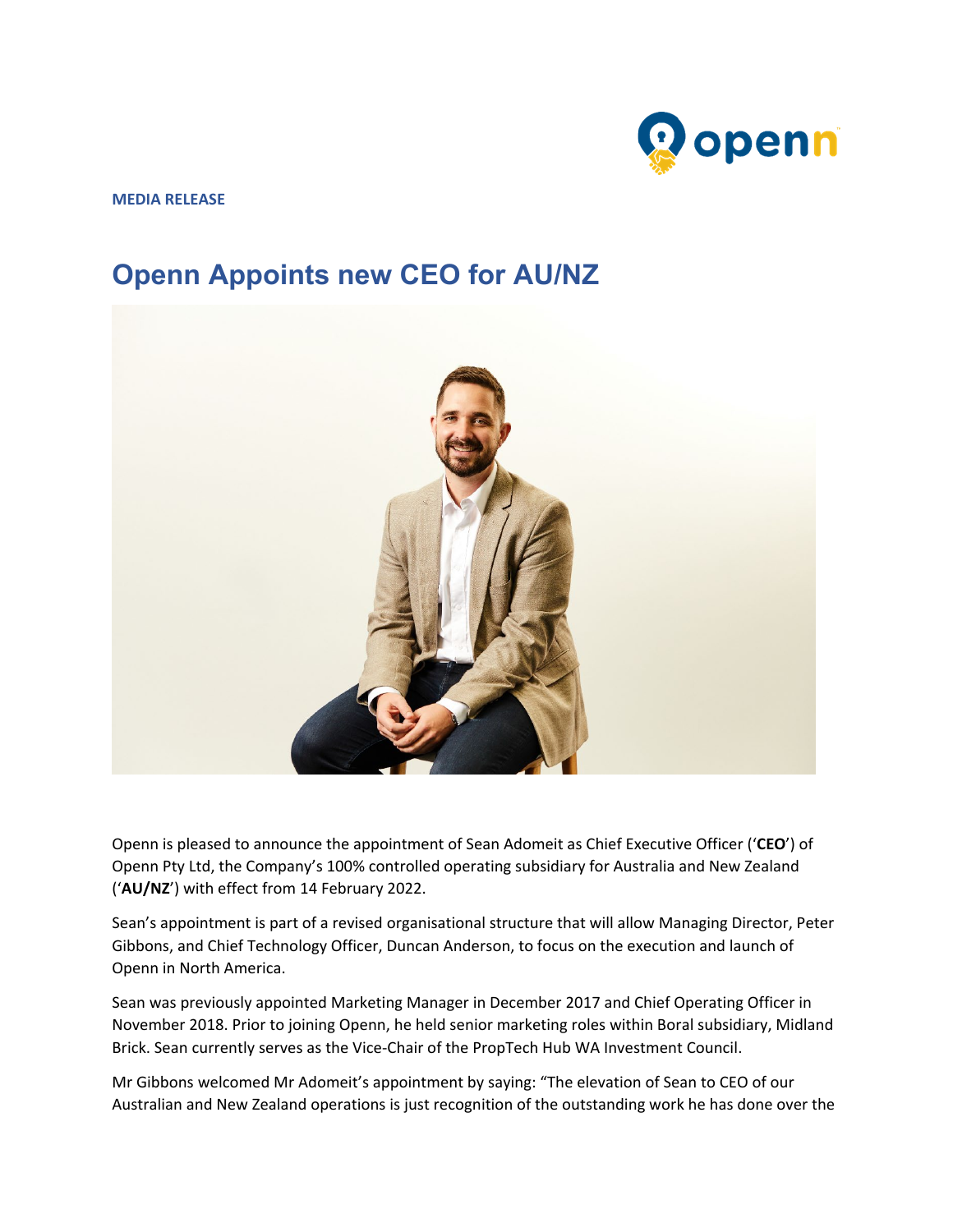

**MEDIA RELEASE**

## **Openn Appoints new CEO for AU/NZ**



Openn is pleased to announce the appointment of Sean Adomeit as Chief Executive Officer ('**CEO**') of Openn Pty Ltd, the Company's 100% controlled operating subsidiary for Australia and New Zealand ('**AU/NZ**') with effect from 14 February 2022.

Sean's appointment is part of a revised organisational structure that will allow Managing Director, Peter Gibbons, and Chief Technology Officer, Duncan Anderson, to focus on the execution and launch of Openn in North America.

Sean was previously appointed Marketing Manager in December 2017 and Chief Operating Officer in November 2018. Prior to joining Openn, he held senior marketing roles within Boral subsidiary, Midland Brick. Sean currently serves as the Vice-Chair of the PropTech Hub WA Investment Council.

Mr Gibbons welcomed Mr Adomeit's appointment by saying: "The elevation of Sean to CEO of our Australian and New Zealand operations is just recognition of the outstanding work he has done over the